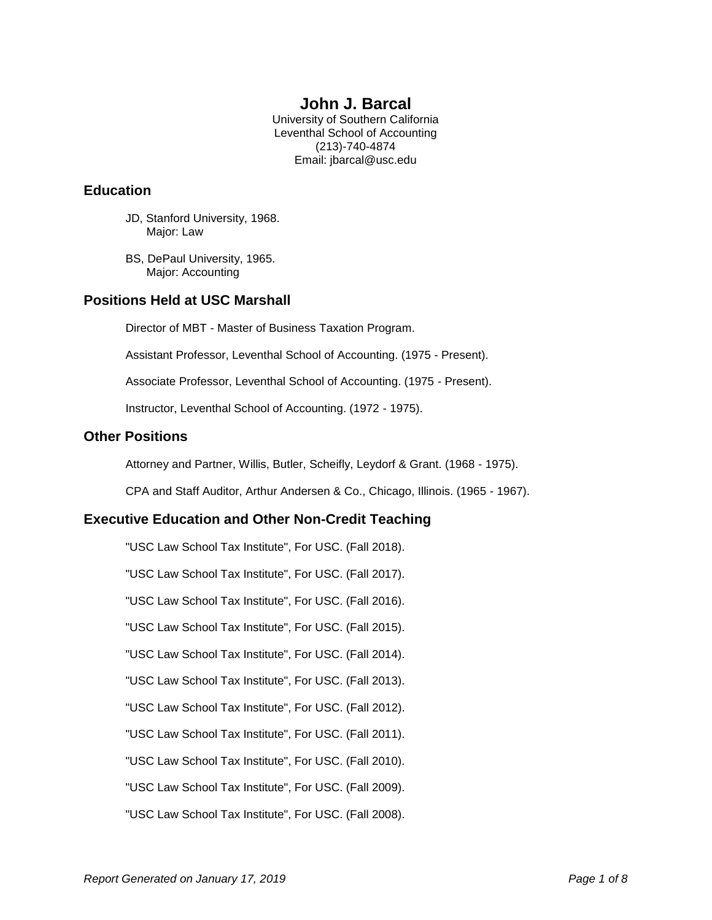# **John J. Barcal**

University of Southern California Leventhal School of Accounting (213)-740-4874 Email: jbarcal@usc.edu

# **Education**

- JD, Stanford University, 1968. Major: Law
- BS, DePaul University, 1965. Major: Accounting

# **Positions Held at USC Marshall**

Director of MBT - Master of Business Taxation Program.

Assistant Professor, Leventhal School of Accounting. (1975 - Present).

Associate Professor, Leventhal School of Accounting. (1975 - Present).

Instructor, Leventhal School of Accounting. (1972 - 1975).

# **Other Positions**

Attorney and Partner, Willis, Butler, Scheifly, Leydorf & Grant. (1968 - 1975).

CPA and Staff Auditor, Arthur Andersen & Co., Chicago, Illinois. (1965 - 1967).

# **Executive Education and Other Non-Credit Teaching**

"USC Law School Tax Institute", For USC. (Fall 2018).

"USC Law School Tax Institute", For USC. (Fall 2017).

"USC Law School Tax Institute", For USC. (Fall 2016).

"USC Law School Tax Institute", For USC. (Fall 2015).

"USC Law School Tax Institute", For USC. (Fall 2014).

"USC Law School Tax Institute", For USC. (Fall 2013).

"USC Law School Tax Institute", For USC. (Fall 2012).

"USC Law School Tax Institute", For USC. (Fall 2011).

"USC Law School Tax Institute", For USC. (Fall 2010).

"USC Law School Tax Institute", For USC. (Fall 2009).

"USC Law School Tax Institute", For USC. (Fall 2008).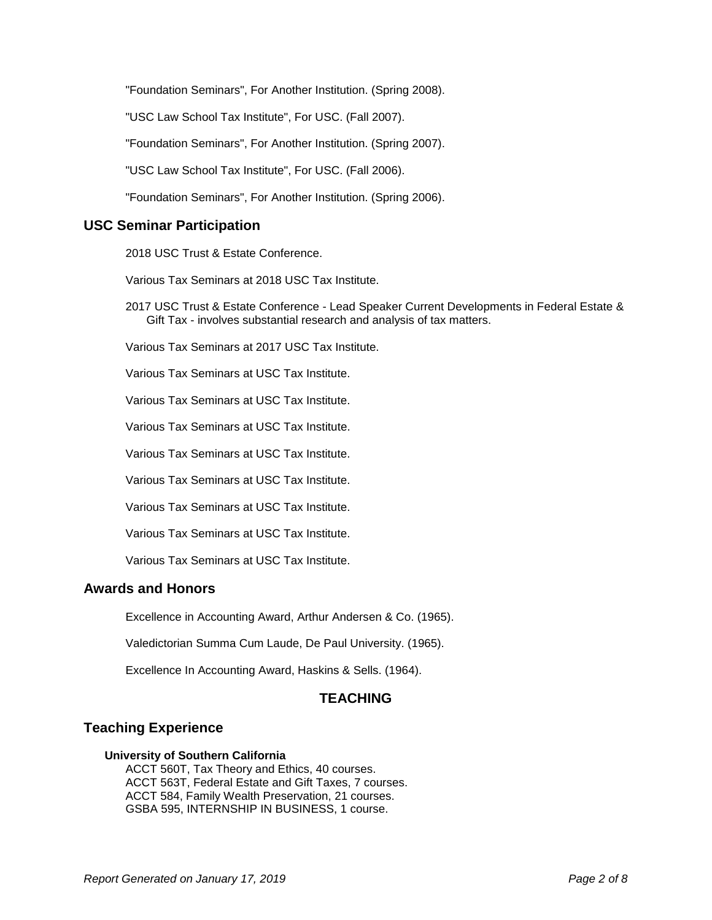"Foundation Seminars", For Another Institution. (Spring 2008).

"USC Law School Tax Institute", For USC. (Fall 2007).

"Foundation Seminars", For Another Institution. (Spring 2007).

"USC Law School Tax Institute", For USC. (Fall 2006).

"Foundation Seminars", For Another Institution. (Spring 2006).

## **USC Seminar Participation**

2018 USC Trust & Estate Conference.

Various Tax Seminars at 2018 USC Tax Institute.

2017 USC Trust & Estate Conference - Lead Speaker Current Developments in Federal Estate & Gift Tax - involves substantial research and analysis of tax matters.

Various Tax Seminars at 2017 USC Tax Institute.

Various Tax Seminars at USC Tax Institute.

Various Tax Seminars at USC Tax Institute.

Various Tax Seminars at USC Tax Institute.

Various Tax Seminars at USC Tax Institute.

Various Tax Seminars at USC Tax Institute.

Various Tax Seminars at USC Tax Institute.

Various Tax Seminars at USC Tax Institute.

Various Tax Seminars at USC Tax Institute.

## **Awards and Honors**

Excellence in Accounting Award, Arthur Andersen & Co. (1965).

Valedictorian Summa Cum Laude, De Paul University. (1965).

Excellence In Accounting Award, Haskins & Sells. (1964).

# **TEACHING**

# **Teaching Experience**

#### **University of Southern California**

ACCT 560T, Tax Theory and Ethics, 40 courses. ACCT 563T, Federal Estate and Gift Taxes, 7 courses. ACCT 584, Family Wealth Preservation, 21 courses. GSBA 595, INTERNSHIP IN BUSINESS, 1 course.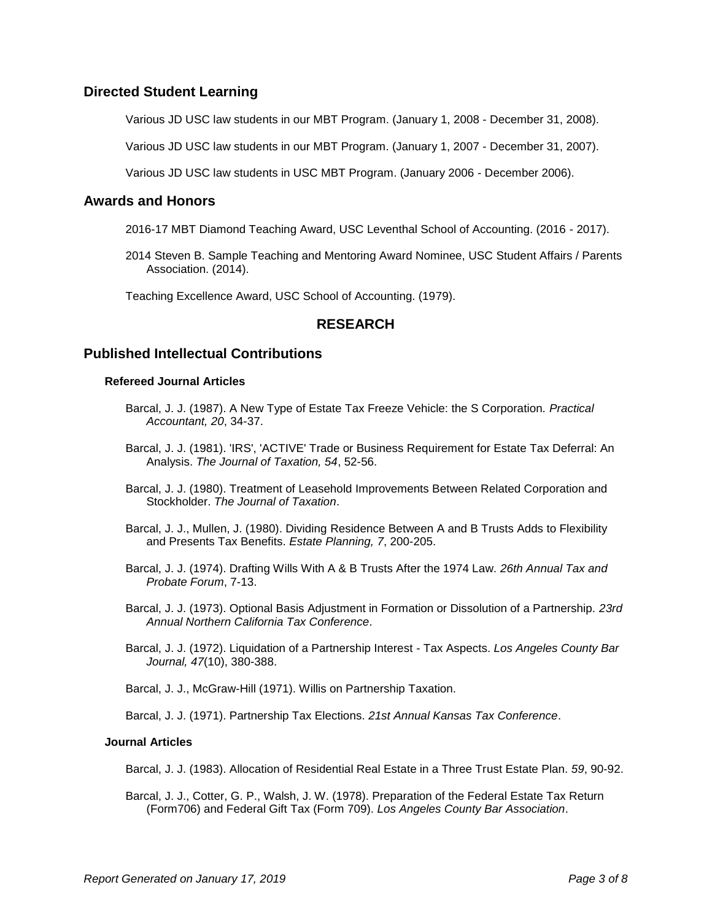# **Directed Student Learning**

Various JD USC law students in our MBT Program. (January 1, 2008 - December 31, 2008).

Various JD USC law students in our MBT Program. (January 1, 2007 - December 31, 2007).

Various JD USC law students in USC MBT Program. (January 2006 - December 2006).

#### **Awards and Honors**

- 2016-17 MBT Diamond Teaching Award, USC Leventhal School of Accounting. (2016 2017).
- 2014 Steven B. Sample Teaching and Mentoring Award Nominee, USC Student Affairs / Parents Association. (2014).

Teaching Excellence Award, USC School of Accounting. (1979).

## **RESEARCH**

## **Published Intellectual Contributions**

#### **Refereed Journal Articles**

- Barcal, J. J. (1987). A New Type of Estate Tax Freeze Vehicle: the S Corporation. *Practical Accountant, 20*, 34-37.
- Barcal, J. J. (1981). 'IRS', 'ACTIVE' Trade or Business Requirement for Estate Tax Deferral: An Analysis. *The Journal of Taxation, 54*, 52-56.
- Barcal, J. J. (1980). Treatment of Leasehold Improvements Between Related Corporation and Stockholder. *The Journal of Taxation*.
- Barcal, J. J., Mullen, J. (1980). Dividing Residence Between A and B Trusts Adds to Flexibility and Presents Tax Benefits. *Estate Planning, 7*, 200-205.
- Barcal, J. J. (1974). Drafting Wills With A & B Trusts After the 1974 Law. *26th Annual Tax and Probate Forum*, 7-13.
- Barcal, J. J. (1973). Optional Basis Adjustment in Formation or Dissolution of a Partnership. *23rd Annual Northern California Tax Conference*.
- Barcal, J. J. (1972). Liquidation of a Partnership Interest Tax Aspects. *Los Angeles County Bar Journal, 47*(10), 380-388.

Barcal, J. J., McGraw-Hill (1971). Willis on Partnership Taxation.

Barcal, J. J. (1971). Partnership Tax Elections. *21st Annual Kansas Tax Conference*.

#### **Journal Articles**

Barcal, J. J. (1983). Allocation of Residential Real Estate in a Three Trust Estate Plan. *59*, 90-92.

Barcal, J. J., Cotter, G. P., Walsh, J. W. (1978). Preparation of the Federal Estate Tax Return (Form706) and Federal Gift Tax (Form 709). *Los Angeles County Bar Association*.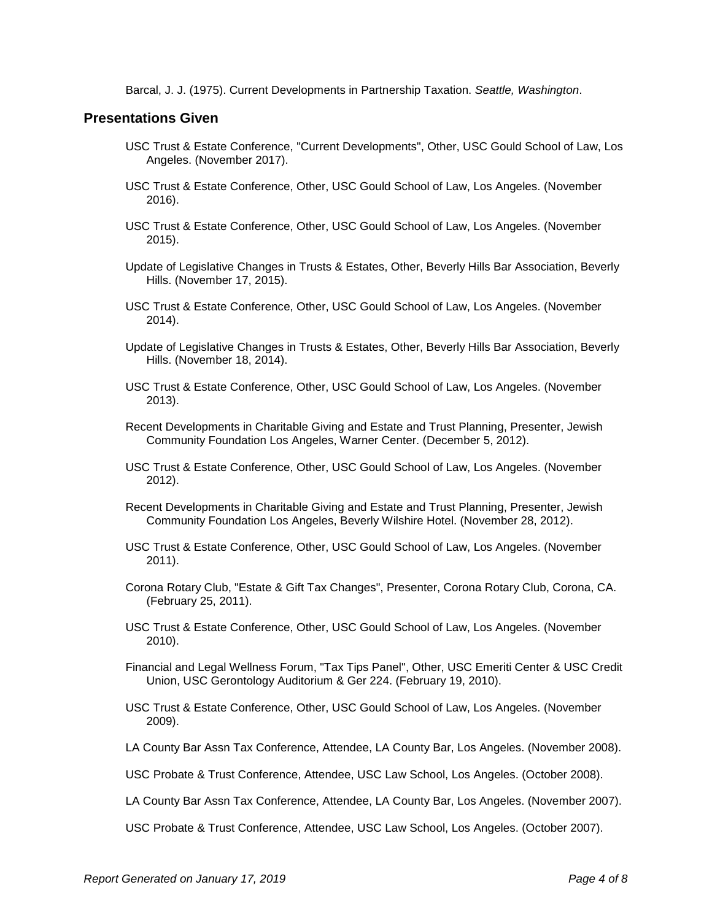Barcal, J. J. (1975). Current Developments in Partnership Taxation. *Seattle, Washington*.

## **Presentations Given**

- USC Trust & Estate Conference, "Current Developments", Other, USC Gould School of Law, Los Angeles. (November 2017).
- USC Trust & Estate Conference, Other, USC Gould School of Law, Los Angeles. (November 2016).
- USC Trust & Estate Conference, Other, USC Gould School of Law, Los Angeles. (November 2015).
- Update of Legislative Changes in Trusts & Estates, Other, Beverly Hills Bar Association, Beverly Hills. (November 17, 2015).
- USC Trust & Estate Conference, Other, USC Gould School of Law, Los Angeles. (November 2014).
- Update of Legislative Changes in Trusts & Estates, Other, Beverly Hills Bar Association, Beverly Hills. (November 18, 2014).
- USC Trust & Estate Conference, Other, USC Gould School of Law, Los Angeles. (November 2013).
- Recent Developments in Charitable Giving and Estate and Trust Planning, Presenter, Jewish Community Foundation Los Angeles, Warner Center. (December 5, 2012).
- USC Trust & Estate Conference, Other, USC Gould School of Law, Los Angeles. (November 2012).
- Recent Developments in Charitable Giving and Estate and Trust Planning, Presenter, Jewish Community Foundation Los Angeles, Beverly Wilshire Hotel. (November 28, 2012).
- USC Trust & Estate Conference, Other, USC Gould School of Law, Los Angeles. (November 2011).
- Corona Rotary Club, "Estate & Gift Tax Changes", Presenter, Corona Rotary Club, Corona, CA. (February 25, 2011).
- USC Trust & Estate Conference, Other, USC Gould School of Law, Los Angeles. (November 2010).
- Financial and Legal Wellness Forum, "Tax Tips Panel", Other, USC Emeriti Center & USC Credit Union, USC Gerontology Auditorium & Ger 224. (February 19, 2010).
- USC Trust & Estate Conference, Other, USC Gould School of Law, Los Angeles. (November 2009).
- LA County Bar Assn Tax Conference, Attendee, LA County Bar, Los Angeles. (November 2008).
- USC Probate & Trust Conference, Attendee, USC Law School, Los Angeles. (October 2008).
- LA County Bar Assn Tax Conference, Attendee, LA County Bar, Los Angeles. (November 2007).
- USC Probate & Trust Conference, Attendee, USC Law School, Los Angeles. (October 2007).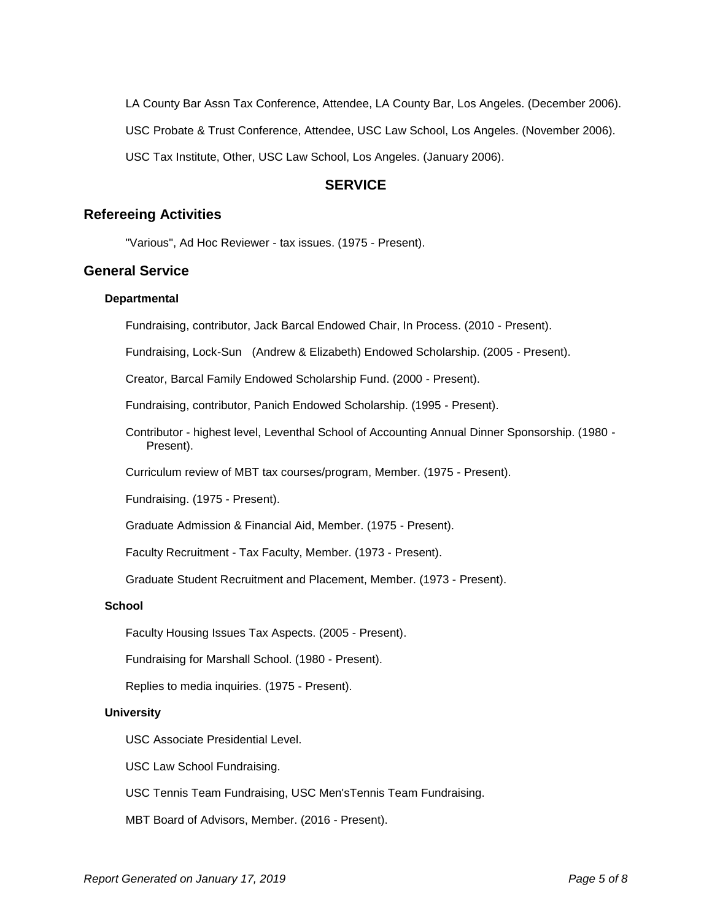LA County Bar Assn Tax Conference, Attendee, LA County Bar, Los Angeles. (December 2006).

USC Probate & Trust Conference, Attendee, USC Law School, Los Angeles. (November 2006).

USC Tax Institute, Other, USC Law School, Los Angeles. (January 2006).

## **SERVICE**

#### **Refereeing Activities**

"Various", Ad Hoc Reviewer - tax issues. (1975 - Present).

# **General Service**

## **Departmental**

Fundraising, contributor, Jack Barcal Endowed Chair, In Process. (2010 - Present).

Fundraising, Lock-Sun (Andrew & Elizabeth) Endowed Scholarship. (2005 - Present).

Creator, Barcal Family Endowed Scholarship Fund. (2000 - Present).

Fundraising, contributor, Panich Endowed Scholarship. (1995 - Present).

Contributor - highest level, Leventhal School of Accounting Annual Dinner Sponsorship. (1980 - Present).

Curriculum review of MBT tax courses/program, Member. (1975 - Present).

Fundraising. (1975 - Present).

Graduate Admission & Financial Aid, Member. (1975 - Present).

Faculty Recruitment - Tax Faculty, Member. (1973 - Present).

Graduate Student Recruitment and Placement, Member. (1973 - Present).

#### **School**

Faculty Housing Issues Tax Aspects. (2005 - Present).

Fundraising for Marshall School. (1980 - Present).

Replies to media inquiries. (1975 - Present).

#### **University**

USC Associate Presidential Level.

USC Law School Fundraising.

USC Tennis Team Fundraising, USC Men'sTennis Team Fundraising.

MBT Board of Advisors, Member. (2016 - Present).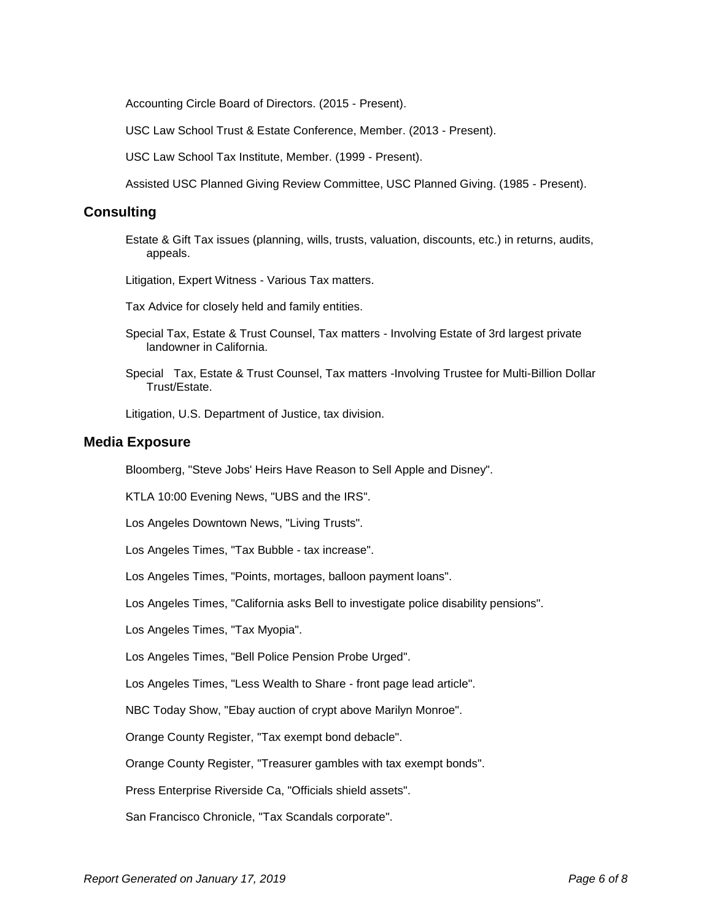Accounting Circle Board of Directors. (2015 - Present).

USC Law School Trust & Estate Conference, Member. (2013 - Present).

USC Law School Tax Institute, Member. (1999 - Present).

Assisted USC Planned Giving Review Committee, USC Planned Giving. (1985 - Present).

### **Consulting**

Estate & Gift Tax issues (planning, wills, trusts, valuation, discounts, etc.) in returns, audits, appeals.

Litigation, Expert Witness - Various Tax matters.

Tax Advice for closely held and family entities.

- Special Tax, Estate & Trust Counsel, Tax matters Involving Estate of 3rd largest private landowner in California.
- Special Tax, Estate & Trust Counsel, Tax matters -Involving Trustee for Multi-Billion Dollar Trust/Estate.

Litigation, U.S. Department of Justice, tax division.

#### **Media Exposure**

Bloomberg, "Steve Jobs' Heirs Have Reason to Sell Apple and Disney".

KTLA 10:00 Evening News, "UBS and the IRS".

Los Angeles Downtown News, "Living Trusts".

Los Angeles Times, "Tax Bubble - tax increase".

Los Angeles Times, "Points, mortages, balloon payment loans".

Los Angeles Times, "California asks Bell to investigate police disability pensions".

Los Angeles Times, "Tax Myopia".

Los Angeles Times, "Bell Police Pension Probe Urged".

Los Angeles Times, "Less Wealth to Share - front page lead article".

NBC Today Show, "Ebay auction of crypt above Marilyn Monroe".

Orange County Register, "Tax exempt bond debacle".

Orange County Register, "Treasurer gambles with tax exempt bonds".

Press Enterprise Riverside Ca, "Officials shield assets".

San Francisco Chronicle, "Tax Scandals corporate".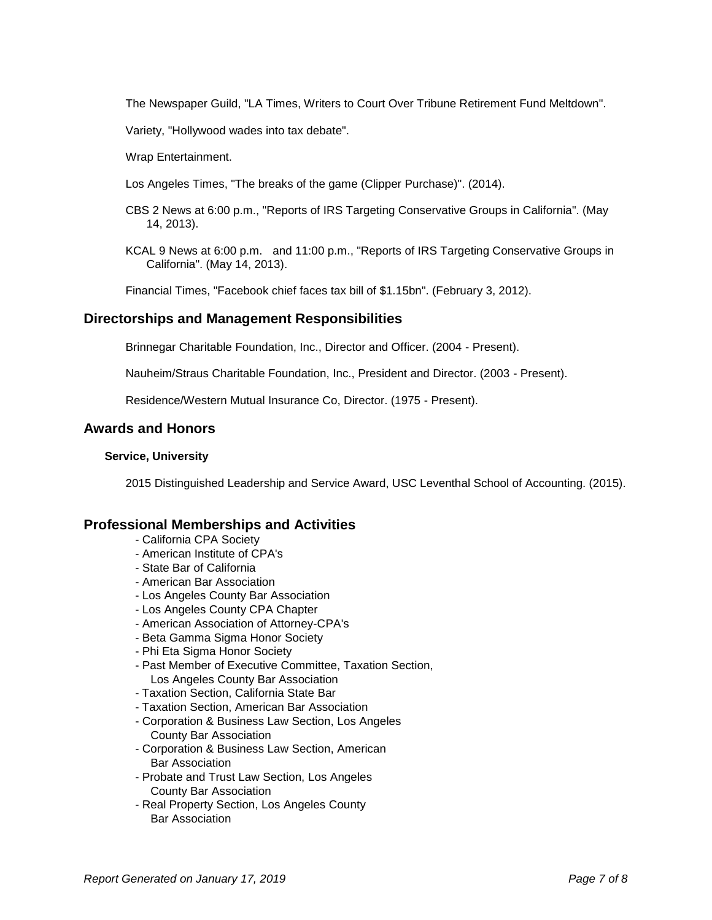The Newspaper Guild, "LA Times, Writers to Court Over Tribune Retirement Fund Meltdown".

Variety, "Hollywood wades into tax debate".

Wrap Entertainment.

- Los Angeles Times, "The breaks of the game (Clipper Purchase)". (2014).
- CBS 2 News at 6:00 p.m., "Reports of IRS Targeting Conservative Groups in California". (May 14, 2013).
- KCAL 9 News at 6:00 p.m. and 11:00 p.m., "Reports of IRS Targeting Conservative Groups in California". (May 14, 2013).

Financial Times, "Facebook chief faces tax bill of \$1.15bn". (February 3, 2012).

## **Directorships and Management Responsibilities**

Brinnegar Charitable Foundation, Inc., Director and Officer. (2004 - Present).

Nauheim/Straus Charitable Foundation, Inc., President and Director. (2003 - Present).

Residence/Western Mutual Insurance Co, Director. (1975 - Present).

## **Awards and Honors**

#### **Service, University**

2015 Distinguished Leadership and Service Award, USC Leventhal School of Accounting. (2015).

## **Professional Memberships and Activities**

- California CPA Society
- American Institute of CPA's
- State Bar of California
- American Bar Association
- Los Angeles County Bar Association
- Los Angeles County CPA Chapter
- American Association of Attorney-CPA's
- Beta Gamma Sigma Honor Society
- Phi Eta Sigma Honor Society
- Past Member of Executive Committee, Taxation Section, Los Angeles County Bar Association
- Taxation Section, California State Bar
- Taxation Section, American Bar Association
- Corporation & Business Law Section, Los Angeles County Bar Association
- Corporation & Business Law Section, American Bar Association
- Probate and Trust Law Section, Los Angeles County Bar Association
- Real Property Section, Los Angeles County Bar Association